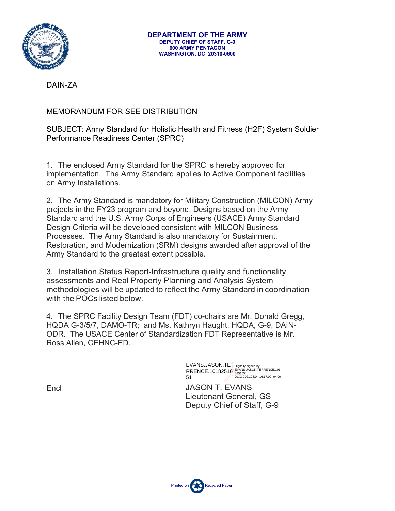

DAIN-ZA

## MEMORANDUM FOR SEE DISTRIBUTION

## SUBJECT: Army Standard for Holistic Health and Fitness (H2F) System Soldier Performance Readiness Center (SPRC)

1. The enclosed Army Standard for the SPRC is hereby approved for implementation. The Army Standard applies to Active Component facilities on Army Installations.

2. The Army Standard is mandatory for Military Construction (MILCON) Army projects in the FY23 program and beyond. Designs based on the Army Standard and the U.S. Army Corps of Engineers (USACE) Army Standard Design Criteria will be developed consistent with MILCON Business Processes. The Army Standard is also mandatory for Sustainment, Restoration, and Modernization (SRM) designs awarded after approval of the Army Standard to the greatest extent possible.

3. Installation Status Report-Infrastructure quality and functionality assessments and Real Property Planning and Analysis System methodologies will be updated to reflect the Army Standard in coordination with the POCs listed below.

4. The SPRC Facility Design Team (FDT) co-chairs are Mr. Donald Gregg, HQDA G-3/5/7, DAMO-TR; and Ms. Kathryn Haught, HQDA, G-9, DAIN-ODR. The USACE Center of Standardization FDT Representative is Mr. Ross Allen, CEHNC-ED.

> EVANS.JASON.TE RRENCE.10182516 51 Digitally signed by EVANS.JASON.TERRENCE.101 8251651 Date: 2021.06.04 16:17:00 -04'00'

JASON T. EVANS Lieutenant General, GS Deputy Chief of Staff, G-9

Encl